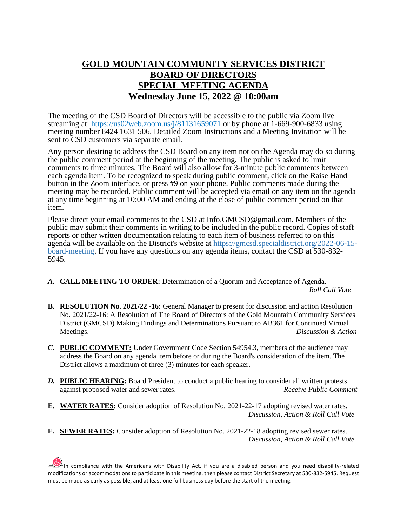## **GOLD MOUNTAIN COMMUNITY SERVICES DISTRICT BOARD OF DIRECTORS SPECIAL MEETING AGENDA Wednesday June 15, 2022 @ 10:00am**

The meeting of the CSD Board of Directors will be accessible to the public via Zoom live streaming at: https://us02web.zoom.us/j/81131659071 or by phone at 1-669-900-6833 using meeting number 8424 1631 506. Detailed Zoom Instructions and a Meeting Invitation will be sent to CSD customers via separate email.

Any person desiring to address the CSD Board on any item not on the Agenda may do so during the public comment period at the beginning of the meeting. The public is asked to limit comments to three minutes. The Board will also allow for 3-minute public comments between each agenda item. To be recognized to speak during public comment, click on the Raise Hand button in the Zoom interface, or press #9 on your phone. Public comments made during the meeting may be recorded. Public comment will be accepted via email on any item on the agenda at any time beginning at 10:00 AM and ending at the close of public comment period on that item.

Please direct your email comments to the CSD at Info.GMCSD@gmail.com. Members of the public may submit their comments in writing to be included in the public record. Copies of staff reports or other written documentation relating to each item of business referred to on this agenda will be available on the District's website at https://gmcsd.specialdistrict.org/2022-06-15 board-meeting. If you have any questions on any agenda items, contact the CSD at 530-832- 5945.

- *A.* **CALL MEETING TO ORDER:** Determination of a Quorum and Acceptance of Agenda. *Roll Call Vote*
- **B. RESOLUTION No. 2021/22 -16:** General Manager to present for discussion and action Resolution No. 2021/22-16: A Resolution of The Board of Directors of the Gold Mountain Community Services District (GMCSD) Making Findings and Determinations Pursuant to AB361 for Continued Virtual Meetings. *Discussion & Action*
- *C.* **PUBLIC COMMENT:** Under Government Code Section 54954.3, members of the audience may address the Board on any agenda item before or during the Board's consideration of the item. The District allows a maximum of three (3) minutes for each speaker.
- *D.* **PUBLIC HEARING:** Board President to conduct a public hearing to consider all written protests against proposed water and sewer rates. *Receive Public Comment*
- **E. WATER RATES:** Consider adoption of Resolution No. 2021-22-17 adopting revised water rates. *Discussion, Action & Roll Call Vote*
- **F. SEWER RATES:** Consider adoption of Resolution No. 2021-22-18 adopting revised sewer rates.  *Discussion, Action & Roll Call Vote*

In compliance with the Americans with Disability Act, if you are a disabled person and you need disability-related modifications or accommodations to participate in this meeting, then please contact District Secretary at 530-832-5945. Request must be made as early as possible, and at least one full business day before the start of the meeting.